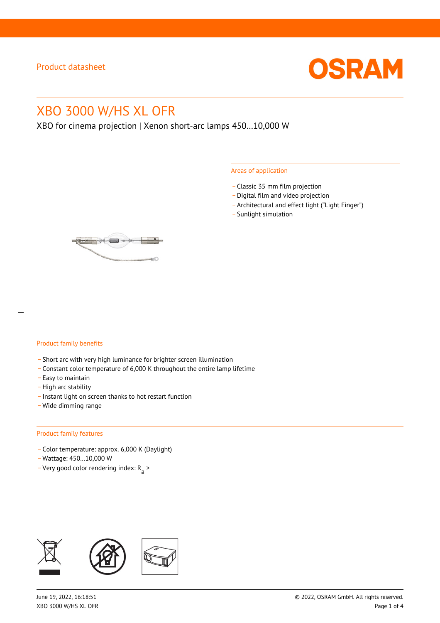

# XBO 3000 W/HS XL OFR

XBO for cinema projection | Xenon short-arc lamps 450…10,000 W

#### Areas of application

- \_ Classic 35 mm film projection
- \_ Digital film and video projection
- \_ Architectural and effect light ("Light Finger")
- Sunlight simulation



#### Product family benefits

- \_ Short arc with very high luminance for brighter screen illumination
- \_ Constant color temperature of 6,000 K throughout the entire lamp lifetime
- \_ Easy to maintain
- High arc stability
- \_ Instant light on screen thanks to hot restart function
- \_ Wide dimming range

#### Product family features

- \_ Color temperature: approx. 6,000 K (Daylight)
- \_ Wattage: 450…10,000 W
- Very good color rendering index:  $R_{\text{a}}$  >

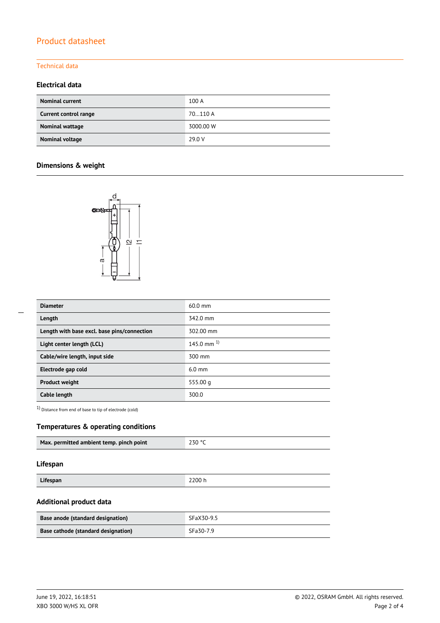# Product datasheet

### Technical data

### **Electrical data**

| <b>Nominal current</b> | 100 A     |
|------------------------|-----------|
| Current control range  | 70110 A   |
| Nominal wattage        | 3000.00 W |
| Nominal voltage        | 29.0 V    |

## **Dimensions & weight**



| <b>Diameter</b>                             | $60.0$ mm       |
|---------------------------------------------|-----------------|
| Length                                      | 342.0 mm        |
| Length with base excl. base pins/connection | 302.00 mm       |
| Light center length (LCL)                   | 145.0 mm $^{1}$ |
| Cable/wire length, input side               | 300 mm          |
| Electrode gap cold                          | $6.0$ mm        |
| <b>Product weight</b>                       | 555.00 $q$      |
| Cable length                                | 300.0           |

1) Distance from end of base to tip of electrode (cold)

### **Temperatures & operating conditions**

| 230 ° <sup>2</sup><br>Max. permitted ambient temp. pinch point |
|----------------------------------------------------------------|
|----------------------------------------------------------------|

### **Lifespan**

| Lifespan | 2200 h |
|----------|--------|

### **Additional product data**

| Base anode (standard designation)   | SFaX30-9.5 |
|-------------------------------------|------------|
| Base cathode (standard designation) | SFa30-7.9  |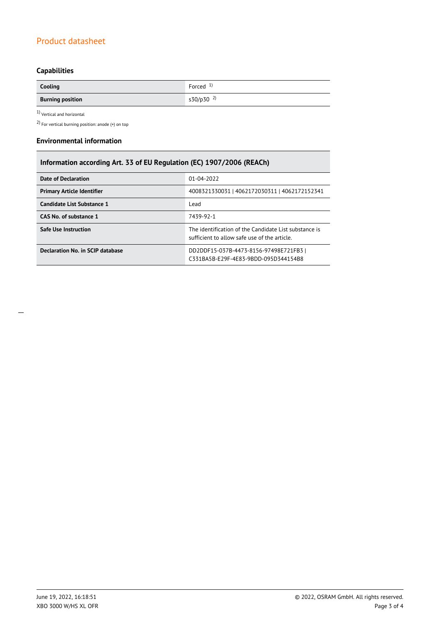# Product datasheet

# **Capabilities**

| Cooling                 | Forced $1$            |
|-------------------------|-----------------------|
| <b>Burning position</b> | s30/p30 <sup>2)</sup> |

 $1$ Vertical and horizontal  $\,$ 

2) For vertical burning position: anode (+) on top

#### **Environmental information**

# **Information according Art. 33 of EU Regulation (EC) 1907/2006 (REACh)**

| <b>Date of Declaration</b>        | 01-04-2022                                                                                           |  |  |
|-----------------------------------|------------------------------------------------------------------------------------------------------|--|--|
| <b>Primary Article Identifier</b> | 4008321330031   4062172030311   4062172152341                                                        |  |  |
| Candidate List Substance 1        | Lead                                                                                                 |  |  |
| CAS No. of substance 1            | 7439-92-1                                                                                            |  |  |
| <b>Safe Use Instruction</b>       | The identification of the Candidate List substance is<br>sufficient to allow safe use of the article |  |  |
| Declaration No. in SCIP database  | DD2DDF15-037B-4473-8156-97498E721FB3<br>C331BA5B-E29F-4E83-9BDD-095D344154B8                         |  |  |